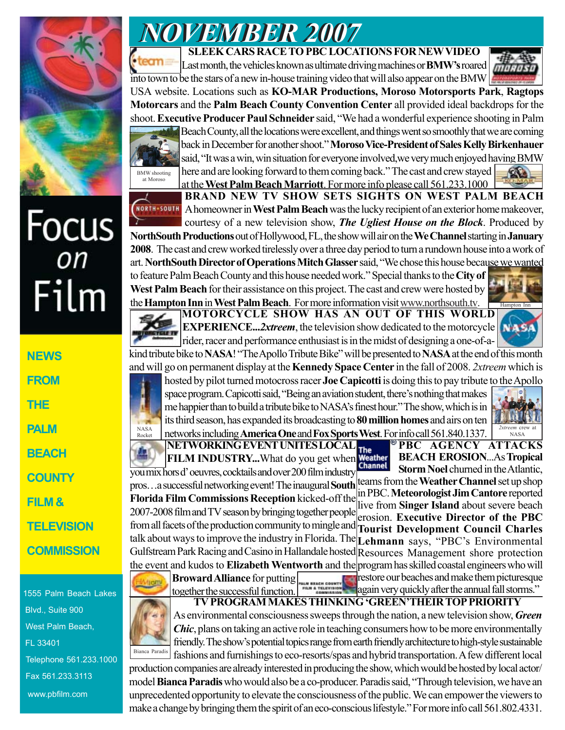

# Focus<br><sub>on</sub> Film

**NEWS FROM THE PALM BEACH COUNTY FILM & TELEVISION COMMISSION**

1555 Palm Beach Lakes Blvd., Suite 900 West Palm Beach, FL 33401 Telephone 561.233.1000 Fax 561.233.3113 www.pbfilm.com

## *NOVEMBER 2007 NOVEMBER 2007*

#### **SLEEK CARS RACE TO PBC LOCATIONS FOR NEW VIDEO**

Last month, the vehicles known as ultimate driving machines or **BMW's** roared into town to be the stars of a new in-house training video that will also appear on the BMW





at Moroso

Beach County, all the locations were excellent, and things went so smoothly that we are coming back in December for another shoot." **Moroso Vice-President of Sales Kelly Birkenhauer** said, "It was a win, win situation for everyone involved,we very much enjoyed having BMW here and are looking forward to them coming back." The cast and crew stayed  $\alpha$ at the **West Palm Beach Marriott**. For more info please call 561.233.1000



**BRAND NEW TV SHOW SETS SIGHTS ON WEST PALM BEACH** A homeowner in **West Palm Beach** was the lucky recipient of an exterior home makeover, courtesy of a new television show, *The Ugliest House on the Block*. Produced by **NorthSouth Productions** out of Hollywood, FL, the show will air on the **We Channel** starting in **January**

**2008**. The cast and crew worked tirelessly over a three day period to turn a rundown house into a work of art. **NorthSouth Director of Operations Mitch Glasser** said, "We chose this house because we wanted to feature Palm Beach County and this house needed work." Special thanks to the **City of West Palm Beach** for their assistance on this project. The cast and crew were hosted by

**MOTORCYCLE SHOW HAS AN OUT OF THIS WORLD EXPERIENCE...2xtreem**, the television show dedicated to the motorcycle rider, racer and performance enthusiast is in the midst of designing a one-of-athe **Hampton Inn** in **West Palm Beach**. For more information visit www.northsouth.tv.

kind tribute bike to **NASA**! "The Apollo Tribute Bike" will be presented to **NASA** at the end of this month and will go on permanent display at the **Kennedy Space Center** in the fall of 2008. *2xtreem* which is

hosted by pilot turned motocross racer **Joe Capicotti** is doing this to pay tribute to the Apollo space program. Capicotti said, "Being an aviation student, there's nothing that makes me happier than to build a tribute bike to NASA's finest hour." The show, which is in its third season, has expanded its broadcasting to **80 million homes** and airs on ten networks including **America One** and **Fox Sports West**. For info call 561.840.1337. NASA Rocke



Hampton Inn

**NASA** 

mana.

**NETWORKING EVENT UNITES LOCAL PBC AGENCY ATTACKS The FILM INDUSTRY...**What do you get when **Weather BEACH EROSION**...As **Tropical Storm Noel** churned in the Atlantic, you mix hors d' oeuvres, cocktails and over 200 film industry teams from the **Weather Channel** set up shop pros…a successful networking event! The inaugural **South** in PBC. **Meteorologist Jim Cantore** reported **Florida Film Commissions Reception** kicked-off the live from **Singer Island** about severe beach 2007-2008 film and TV season by bringing together people erosion. **Executive Director of the PBC** from all facets of the production community to mingle and **Tourist Development Council Charles** talk about ways to improve the industry in Florida. The **Lehmann** says, "PBC's Environmental Gulfstream Park Racing and Casino in Hallandale hosted Resources Management shore protection the event and kudos to **Elizabeth Wentworth** and the program has skilled coastal engineers who will restore our beaches and make them picturesque

**Broward Alliance** for putting



As environmental consciousness sweeps through the nation, a new television show, *Green Chic*, plans on taking an active role in teaching consumers how to be more environmentally friendly. The show's potential topics range from earth friendly architecture to high-style sustainable fashions and furnishings to eco-resorts/spas and hybrid transportation. A few different local

production companies are already interested in producing the show, which would be hosted by local actor/ model **Bianca Paradis** who would also be a co-producer. Paradis said, "Through television, we have an unprecedented opportunity to elevate the consciousness of the public. We can empower the viewers to make a change by bringing them the spirit of an eco-conscious lifestyle." For more info call 561.802.4331.

together the successful function. **TV PROGRAM MAKES THINKING 'GREEN'THEIR TOP PRIORITY** again very quickly after the annual fall storms."